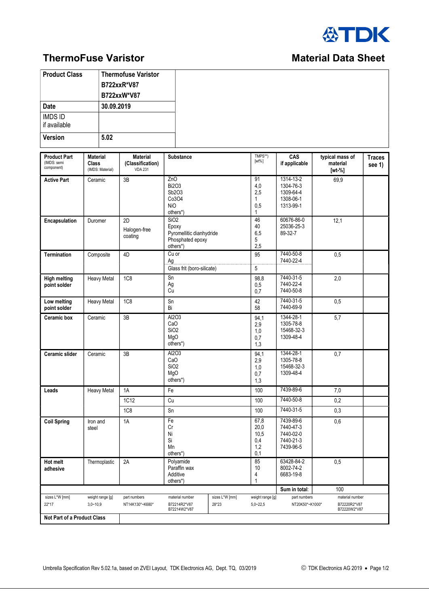

## **ThermoFuse Varistor Material Data Sheet** Material Data Sheet

## **Product Class** Thermofuse Varistor B722xxR\*V87 B722xxW\*V87 Date 30.09.2019 IMDS ID if available Version 5.02 Product Part (IMDS: semi component) Material Class (IMDS: Material) Material (Classification) VDA 231 Substance TMPS\*\* [wt%] CAS if applicable typical mass of material [wt-%] **Traces** see 1) Active Part Ceramic 3B 2nO Bi2O3 Sb2O3 Co3O4 NiO others\*) 91 4,0 2,5 1 0,5 1 1314-13-2 1304-76-3 1309-64-4 1308-06-1 1313-99-1 69,9 Encapsulation | Duromer | 2D Halogen-free coating SiO2 Epoxy Pyromellitic dianhydride Phosphated epoxy others\*) 46 40 6,5 5 2,5 60676-86-0 25036-25-3 89-32-7 12,1 Termination | Composite | 4D | Cu or Ag 95 7440-50-8 7440-22-4 0,5 Glass frit (boro-silicate) 5 High melting point solder Heavy Metal 1C8 | Sn Ag Cu 98,8  $0,5$  $0.7$ 7440-31-5 7440-22-4 7440-50-8 2,0 Low melting point solder Heavy Metal 1C8 Sn Bi 42 58 7440-31-5 7440-69-9  $\overline{0.5}$ Ceramic box Ceramic 3B Al2O3 CaO SiO2 MgO others\*) 94,1 2,9 1,0  $0.7$ 1,3 1344-28-1 1305-78-8 15468-32-3 1309-48-4 5,7 Ceramic slider Ceramic 3B Al2O3 CaO SiO2 MgO others\*) 94,1 2,9 1,0  $0,7$ 1,3 1344-28-1 1305-78-8 15468-32-3 1309-48-4 0,7 Leads | Heavy Metal | 1A | Fe 100 | 100 | 1439-89-6 | 1,00 | 7,0 1C12 | Cu 100 | 7440-50-8 | 0,2 1C8 | Sn 100 | 7440-31-5 | 0,3 Coil Spring | Iron and steel 1A Fe Cr Ni Si Mn others\*) 67,8 20,0 10,5 0,4  $1,2$  $0<sub>1</sub>$ 7439-89-6 7440-47-3 7440-02-0 7440-21-3 7439-96-5 0,6 Hot melt adhesive Thermoplastic 2A Polyamide Paraffin wax Additive others\*) 85 10 4 1 63428-84-2 8002-74-2 6683-19-8  $\overline{0.5}$  $\blacksquare$  Sum in total:  $\blacksquare$  100 sizes L\*W [mm] 22\*17 weight range [g]  $3,0 - 10,9$ part numbers NT14K130\*~K680 material number B72214R2\*V87 B72214W2\*V87 sizes L\*W [mm] 28\*23 weight range [g] 5,0~22,5 part numbers NT20K50\*~K1000\* material number B72220R2\*V87 B72220W2\*V87 Not Part of a Product Class